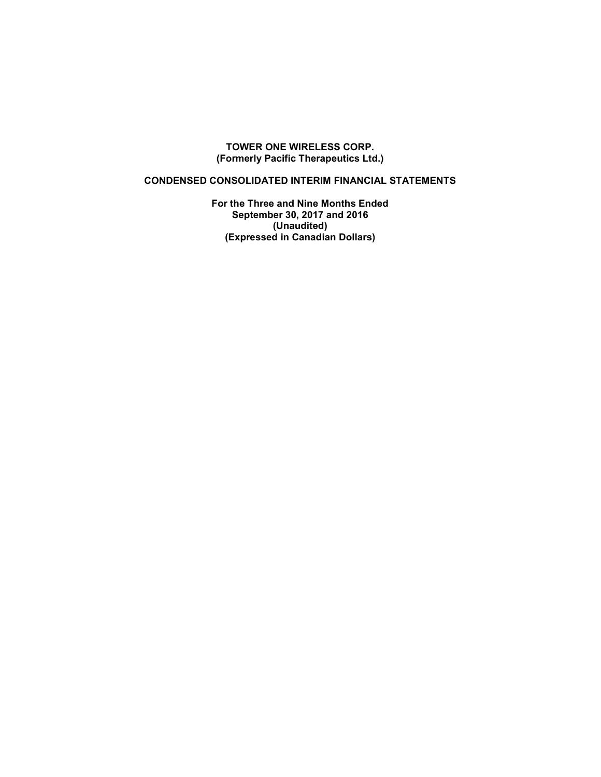## TOWER ONE WIRELESS CORP. (Formerly Pacific Therapeutics Ltd.)

# CONDENSED CONSOLIDATED INTERIM FINANCIAL STATEMENTS

For the Three and Nine Months Ended September 30, 2017 and 2016 (Unaudited) (Expressed in Canadian Dollars)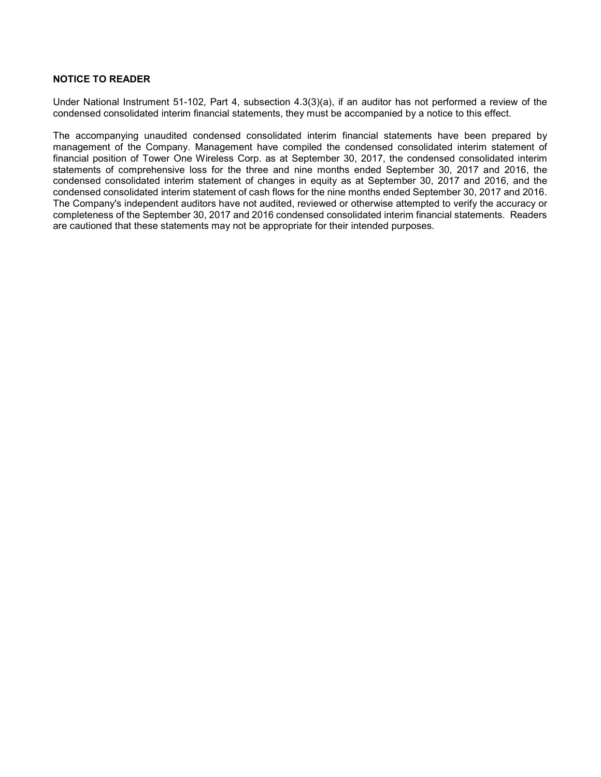## NOTICE TO READER

Under National Instrument 51-102, Part 4, subsection 4.3(3)(a), if an auditor has not performed a review of the condensed consolidated interim financial statements, they must be accompanied by a notice to this effect.

The accompanying unaudited condensed consolidated interim financial statements have been prepared by management of the Company. Management have compiled the condensed consolidated interim statement of financial position of Tower One Wireless Corp. as at September 30, 2017, the condensed consolidated interim statements of comprehensive loss for the three and nine months ended September 30, 2017 and 2016, the condensed consolidated interim statement of changes in equity as at September 30, 2017 and 2016, and the condensed consolidated interim statement of cash flows for the nine months ended September 30, 2017 and 2016. The Company's independent auditors have not audited, reviewed or otherwise attempted to verify the accuracy or completeness of the September 30, 2017 and 2016 condensed consolidated interim financial statements. Readers are cautioned that these statements may not be appropriate for their intended purposes.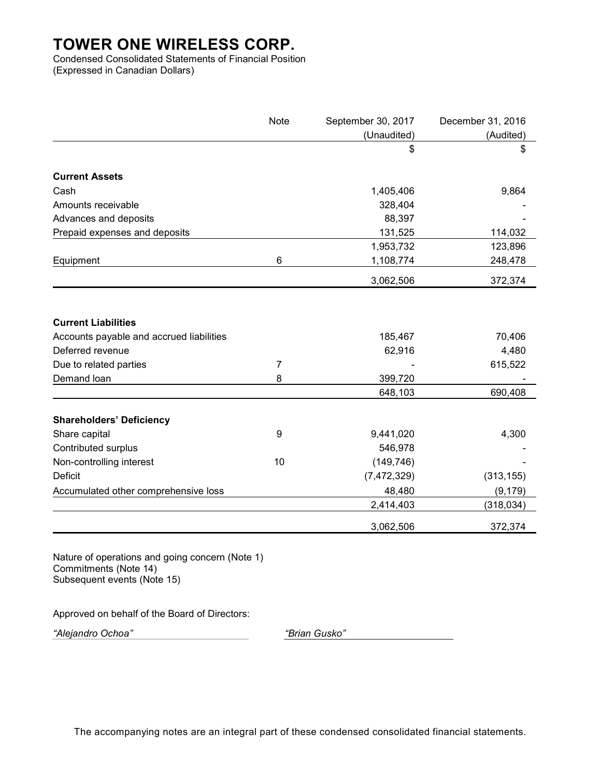Condensed Consolidated Statements of Financial Position (Expressed in Canadian Dollars)

|                                          | <b>Note</b>    | September 30, 2017 | December 31, 2016 |
|------------------------------------------|----------------|--------------------|-------------------|
|                                          |                | (Unaudited)        | (Audited)         |
|                                          |                | \$                 | \$                |
| <b>Current Assets</b>                    |                |                    |                   |
| Cash                                     |                | 1,405,406          | 9,864             |
| Amounts receivable                       |                | 328,404            |                   |
| Advances and deposits                    |                | 88,397             |                   |
| Prepaid expenses and deposits            |                | 131,525            | 114,032           |
|                                          |                | 1,953,732          | 123,896           |
| Equipment                                | 6              | 1,108,774          | 248,478           |
|                                          |                | 3,062,506          | 372,374           |
|                                          |                |                    |                   |
| <b>Current Liabilities</b>               |                |                    |                   |
| Accounts payable and accrued liabilities |                | 185,467            | 70,406            |
| Deferred revenue                         |                | 62,916             | 4,480             |
| Due to related parties                   | $\overline{7}$ |                    | 615,522           |
| Demand loan                              | 8              | 399,720            |                   |
|                                          |                | 648,103            | 690,408           |
| <b>Shareholders' Deficiency</b>          |                |                    |                   |
| Share capital                            | 9              | 9,441,020          | 4,300             |
| Contributed surplus                      |                | 546,978            |                   |
| Non-controlling interest                 | 10             | (149, 746)         |                   |
| <b>Deficit</b>                           |                | (7, 472, 329)      | (313, 155)        |
| Accumulated other comprehensive loss     |                | 48,480             | (9, 179)          |
|                                          |                | 2,414,403          | (318, 034)        |
|                                          |                | 3,062,506          | 372,374           |

Nature of operations and going concern (Note 1) Commitments (Note 14) Subsequent events (Note 15)

Approved on behalf of the Board of Directors:

"Alejandro Ochoa" "Brian Gusko"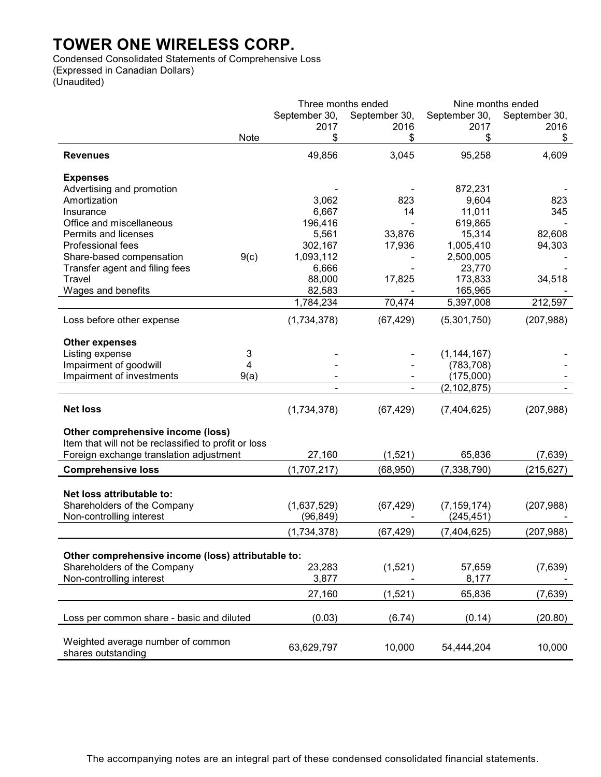Condensed Consolidated Statements of Comprehensive Loss (Expressed in Canadian Dollars)

(Unaudited)

|                                                      |      |               | Three months ended | Nine months ended |               |
|------------------------------------------------------|------|---------------|--------------------|-------------------|---------------|
|                                                      |      | September 30, | September 30,      | September 30,     | September 30, |
|                                                      |      | 2017          | 2016               | 2017              | 2016          |
|                                                      | Note | \$            | \$                 | \$                | \$            |
| <b>Revenues</b>                                      |      | 49,856        | 3,045              | 95,258            | 4,609         |
| <b>Expenses</b>                                      |      |               |                    |                   |               |
| Advertising and promotion                            |      |               |                    | 872,231           |               |
| Amortization                                         |      | 3,062         | 823                | 9,604             | 823           |
| Insurance                                            |      | 6,667         | 14                 | 11,011            | 345           |
| Office and miscellaneous                             |      | 196,416       |                    | 619,865           |               |
| Permits and licenses                                 |      | 5,561         | 33,876             | 15,314            | 82,608        |
| Professional fees                                    |      | 302,167       | 17,936             | 1,005,410         | 94,303        |
| Share-based compensation                             | 9(c) | 1,093,112     |                    | 2,500,005         |               |
| Transfer agent and filing fees                       |      | 6,666         |                    | 23,770            |               |
| Travel                                               |      | 88,000        | 17,825             | 173,833           | 34,518        |
| Wages and benefits                                   |      | 82,583        |                    | 165,965           |               |
|                                                      |      | 1,784,234     | 70,474             | 5,397,008         | 212,597       |
| Loss before other expense                            |      | (1,734,378)   | (67, 429)          | (5,301,750)       | (207, 988)    |
|                                                      |      |               |                    |                   |               |
| <b>Other expenses</b>                                |      |               |                    |                   |               |
| Listing expense                                      | 3    |               |                    | (1, 144, 167)     |               |
| Impairment of goodwill                               | 4    |               |                    | (783, 708)        |               |
| Impairment of investments                            | 9(a) |               |                    | (175,000)         |               |
|                                                      |      |               |                    | (2, 102, 875)     |               |
| <b>Net loss</b>                                      |      | (1,734,378)   | (67, 429)          | (7,404,625)       | (207, 988)    |
|                                                      |      |               |                    |                   |               |
| Other comprehensive income (loss)                    |      |               |                    |                   |               |
| Item that will not be reclassified to profit or loss |      |               |                    |                   |               |
| Foreign exchange translation adjustment              |      | 27,160        | (1,521)            | 65,836            | (7,639)       |
| <b>Comprehensive loss</b>                            |      | (1,707,217)   | (68, 950)          | (7, 338, 790)     | (215, 627)    |
|                                                      |      |               |                    |                   |               |
| Net loss attributable to:                            |      |               |                    |                   |               |
| Shareholders of the Company                          |      | (1,637,529)   | (67, 429)          | (7, 159, 174)     | (207, 988)    |
| Non-controlling interest                             |      | (96, 849)     |                    | (245, 451)        |               |
|                                                      |      | (1,734,378)   | (67, 429)          | (7, 404, 625)     | (207, 988)    |
| Other comprehensive income (loss) attributable to:   |      |               |                    |                   |               |
| Shareholders of the Company                          |      |               |                    |                   |               |
|                                                      |      | 23,283        | (1,521)            | 57,659            | (7,639)       |
| Non-controlling interest                             |      | 3,877         |                    | 8,177             |               |
|                                                      |      | 27,160        | (1,521)            | 65,836            | (7,639)       |
| Loss per common share - basic and diluted            |      | (0.03)        | (6.74)             | (0.14)            | (20.80)       |
|                                                      |      |               |                    |                   |               |
| Weighted average number of common                    |      |               |                    |                   |               |
| shares outstanding                                   |      | 63,629,797    | 10,000             | 54,444,204        | 10,000        |
|                                                      |      |               |                    |                   |               |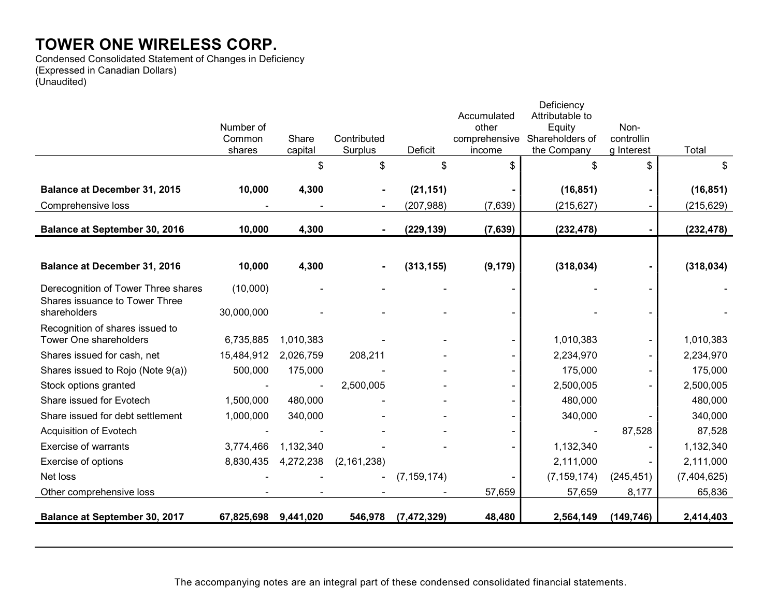Condensed Consolidated Statement of Changes in Deficiency (Expressed in Canadian Dollars) (Unaudited)

|                                                                       |            |           |                |               | Accumulated   | Deficiency<br>Attributable to |            |             |
|-----------------------------------------------------------------------|------------|-----------|----------------|---------------|---------------|-------------------------------|------------|-------------|
|                                                                       | Number of  |           |                |               | other         | Equity                        | Non-       |             |
|                                                                       | Common     | Share     | Contributed    |               | comprehensive | Shareholders of               | controllin |             |
|                                                                       | shares     | capital   | Surplus        | Deficit       | income        | the Company                   | g Interest | Total       |
|                                                                       |            | \$        | \$             | \$            | \$            | \$                            |            | \$          |
| <b>Balance at December 31, 2015</b>                                   | 10,000     | 4,300     |                | (21, 151)     |               | (16, 851)                     |            | (16, 851)   |
| Comprehensive loss                                                    |            |           | $\blacksquare$ | (207, 988)    | (7,639)       | (215, 627)                    |            | (215, 629)  |
| <b>Balance at September 30, 2016</b>                                  | 10,000     | 4,300     |                | (229, 139)    | (7,639)       | (232, 478)                    |            | (232, 478)  |
|                                                                       |            |           |                |               |               |                               |            |             |
| <b>Balance at December 31, 2016</b>                                   | 10,000     | 4,300     |                | (313, 155)    | (9, 179)      | (318, 034)                    |            | (318, 034)  |
| Derecognition of Tower Three shares<br>Shares issuance to Tower Three | (10,000)   |           |                |               |               |                               |            |             |
| shareholders                                                          | 30,000,000 |           |                |               |               |                               |            |             |
| Recognition of shares issued to                                       |            |           |                |               |               |                               |            |             |
| Tower One shareholders                                                | 6,735,885  | 1,010,383 |                |               |               | 1,010,383                     |            | 1,010,383   |
| Shares issued for cash, net                                           | 15,484,912 | 2,026,759 | 208,211        |               |               | 2,234,970                     |            | 2,234,970   |
| Shares issued to Rojo (Note 9(a))                                     | 500,000    | 175,000   |                |               |               | 175,000                       |            | 175,000     |
| Stock options granted                                                 |            |           | 2,500,005      |               |               | 2,500,005                     |            | 2,500,005   |
| Share issued for Evotech                                              | 1,500,000  | 480,000   |                |               |               | 480,000                       |            | 480,000     |
| Share issued for debt settlement                                      | 1,000,000  | 340,000   |                |               |               | 340,000                       |            | 340,000     |
| Acquisition of Evotech                                                |            |           |                |               |               |                               | 87,528     | 87,528      |
| <b>Exercise of warrants</b>                                           | 3,774,466  | 1,132,340 |                |               |               | 1,132,340                     |            | 1,132,340   |
| Exercise of options                                                   | 8,830,435  | 4,272,238 | (2, 161, 238)  |               |               | 2,111,000                     |            | 2,111,000   |
| Net loss                                                              |            |           |                | (7, 159, 174) |               | (7, 159, 174)                 | (245, 451) | (7,404,625) |
| Other comprehensive loss                                              |            |           |                |               | 57,659        | 57,659                        | 8,177      | 65,836      |
| <b>Balance at September 30, 2017</b>                                  | 67,825,698 | 9,441,020 | 546,978        | (7, 472, 329) | 48,480        | 2,564,149                     | (149, 746) | 2,414,403   |

The accompanying notes are an integral part of these condensed consolidated financial statements.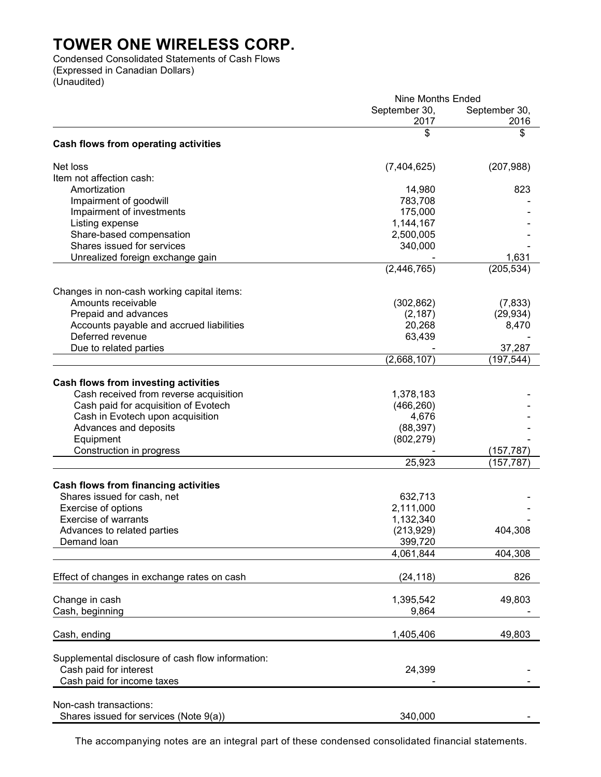Condensed Consolidated Statements of Cash Flows (Expressed in Canadian Dollars) (Unaudited)

|                                                                | Nine Months Ended     |                       |
|----------------------------------------------------------------|-----------------------|-----------------------|
|                                                                | September 30,<br>2017 | September 30,<br>2016 |
| Cash flows from operating activities                           | \$                    | \$                    |
|                                                                |                       |                       |
| Net loss                                                       | (7,404,625)           | (207, 988)            |
| Item not affection cash:                                       |                       |                       |
| Amortization                                                   | 14,980                | 823                   |
| Impairment of goodwill                                         | 783,708               |                       |
| Impairment of investments                                      | 175,000               |                       |
| Listing expense                                                | 1,144,167             |                       |
| Share-based compensation                                       | 2,500,005             |                       |
| Shares issued for services<br>Unrealized foreign exchange gain | 340,000               | 1,631                 |
|                                                                | (2, 446, 765)         | (205, 534)            |
|                                                                |                       |                       |
| Changes in non-cash working capital items:                     |                       |                       |
| Amounts receivable                                             | (302, 862)            | (7, 833)              |
| Prepaid and advances                                           | (2, 187)              | (29, 934)             |
| Accounts payable and accrued liabilities<br>Deferred revenue   | 20,268                | 8,470                 |
|                                                                | 63,439                | 37,287                |
| Due to related parties                                         | (2,668,107)           | (197, 544)            |
|                                                                |                       |                       |
| Cash flows from investing activities                           |                       |                       |
| Cash received from reverse acquisition                         | 1,378,183             |                       |
| Cash paid for acquisition of Evotech                           | (466, 260)            |                       |
| Cash in Evotech upon acquisition                               | 4,676                 |                       |
| Advances and deposits                                          | (88, 397)             |                       |
| Equipment                                                      | (802, 279)            |                       |
| Construction in progress                                       |                       | (157,787)             |
|                                                                | 25,923                | (157, 787)            |
| Cash flows from financing activities                           |                       |                       |
| Shares issued for cash, net                                    | 632,713               |                       |
| Exercise of options                                            | 2,111,000             |                       |
| <b>Exercise of warrants</b>                                    | 1,132,340             |                       |
| Advances to related parties                                    | (213, 929)            | 404,308               |
| Demand loan                                                    | 399,720               |                       |
|                                                                | 4,061,844             | 404,308               |
| Effect of changes in exchange rates on cash                    | (24, 118)             | 826                   |
|                                                                |                       |                       |
| Change in cash                                                 | 1,395,542             | 49,803                |
| Cash, beginning                                                | 9,864                 |                       |
| Cash, ending                                                   | 1,405,406             | 49,803                |
| Supplemental disclosure of cash flow information:              |                       |                       |
| Cash paid for interest                                         | 24,399                |                       |
| Cash paid for income taxes                                     |                       |                       |
|                                                                |                       |                       |
| Non-cash transactions:                                         |                       |                       |
| Shares issued for services (Note 9(a))                         | 340,000               |                       |

The accompanying notes are an integral part of these condensed consolidated financial statements.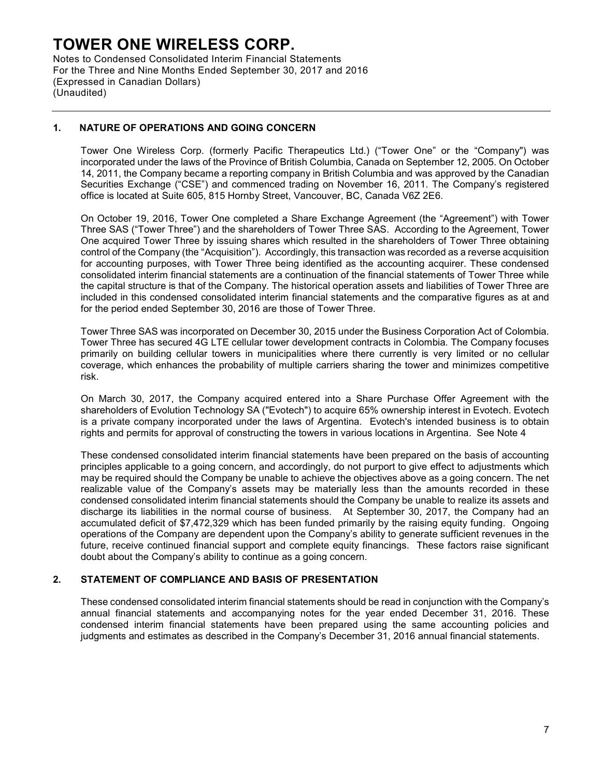Notes to Condensed Consolidated Interim Financial Statements For the Three and Nine Months Ended September 30, 2017 and 2016 (Expressed in Canadian Dollars) (Unaudited)

# 1. NATURE OF OPERATIONS AND GOING CONCERN

Tower One Wireless Corp. (formerly Pacific Therapeutics Ltd.) ("Tower One" or the "Company") was incorporated under the laws of the Province of British Columbia, Canada on September 12, 2005. On October 14, 2011, the Company became a reporting company in British Columbia and was approved by the Canadian Securities Exchange ("CSE") and commenced trading on November 16, 2011. The Company's registered office is located at Suite 605, 815 Hornby Street, Vancouver, BC, Canada V6Z 2E6.

On October 19, 2016, Tower One completed a Share Exchange Agreement (the "Agreement") with Tower Three SAS ("Tower Three") and the shareholders of Tower Three SAS. According to the Agreement, Tower One acquired Tower Three by issuing shares which resulted in the shareholders of Tower Three obtaining control of the Company (the "Acquisition"). Accordingly, this transaction was recorded as a reverse acquisition for accounting purposes, with Tower Three being identified as the accounting acquirer. These condensed consolidated interim financial statements are a continuation of the financial statements of Tower Three while the capital structure is that of the Company. The historical operation assets and liabilities of Tower Three are included in this condensed consolidated interim financial statements and the comparative figures as at and for the period ended September 30, 2016 are those of Tower Three.

Tower Three SAS was incorporated on December 30, 2015 under the Business Corporation Act of Colombia. Tower Three has secured 4G LTE cellular tower development contracts in Colombia. The Company focuses primarily on building cellular towers in municipalities where there currently is very limited or no cellular coverage, which enhances the probability of multiple carriers sharing the tower and minimizes competitive risk.

On March 30, 2017, the Company acquired entered into a Share Purchase Offer Agreement with the shareholders of Evolution Technology SA ("Evotech") to acquire 65% ownership interest in Evotech. Evotech is a private company incorporated under the laws of Argentina. Evotech's intended business is to obtain rights and permits for approval of constructing the towers in various locations in Argentina. See Note 4

These condensed consolidated interim financial statements have been prepared on the basis of accounting principles applicable to a going concern, and accordingly, do not purport to give effect to adjustments which may be required should the Company be unable to achieve the objectives above as a going concern. The net realizable value of the Company's assets may be materially less than the amounts recorded in these condensed consolidated interim financial statements should the Company be unable to realize its assets and discharge its liabilities in the normal course of business. At September 30, 2017, the Company had an accumulated deficit of \$7,472,329 which has been funded primarily by the raising equity funding. Ongoing operations of the Company are dependent upon the Company's ability to generate sufficient revenues in the future, receive continued financial support and complete equity financings. These factors raise significant doubt about the Company's ability to continue as a going concern.

## 2. STATEMENT OF COMPLIANCE AND BASIS OF PRESENTATION

These condensed consolidated interim financial statements should be read in conjunction with the Company's annual financial statements and accompanying notes for the year ended December 31, 2016. These condensed interim financial statements have been prepared using the same accounting policies and judgments and estimates as described in the Company's December 31, 2016 annual financial statements.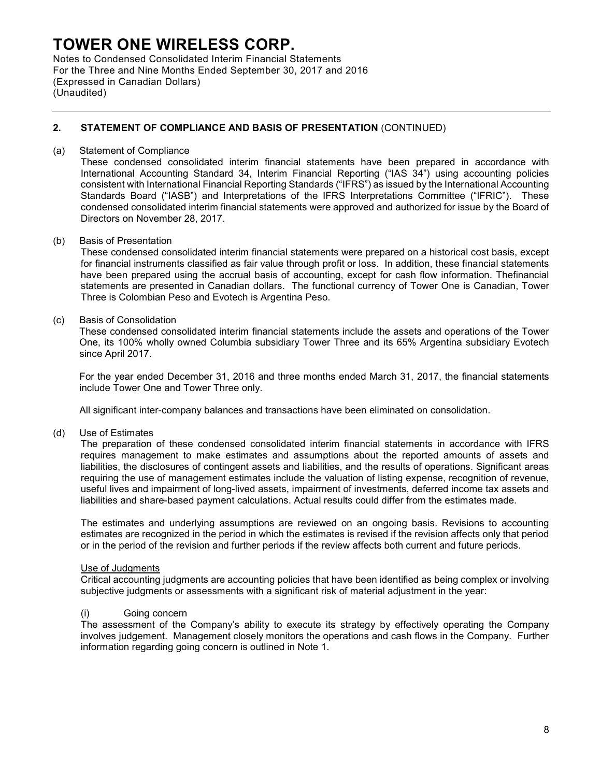Notes to Condensed Consolidated Interim Financial Statements For the Three and Nine Months Ended September 30, 2017 and 2016 (Expressed in Canadian Dollars) (Unaudited)

## 2. STATEMENT OF COMPLIANCE AND BASIS OF PRESENTATION (CONTINUED)

### (a) Statement of Compliance

These condensed consolidated interim financial statements have been prepared in accordance with International Accounting Standard 34, Interim Financial Reporting ("IAS 34") using accounting policies consistent with International Financial Reporting Standards ("IFRS") as issued by the International Accounting Standards Board ("IASB") and Interpretations of the IFRS Interpretations Committee ("IFRIC"). These condensed consolidated interim financial statements were approved and authorized for issue by the Board of Directors on November 28, 2017.

## (b) Basis of Presentation

These condensed consolidated interim financial statements were prepared on a historical cost basis, except for financial instruments classified as fair value through profit or loss. In addition, these financial statements have been prepared using the accrual basis of accounting, except for cash flow information. Thefinancial statements are presented in Canadian dollars. The functional currency of Tower One is Canadian, Tower Three is Colombian Peso and Evotech is Argentina Peso.

### (c) Basis of Consolidation

These condensed consolidated interim financial statements include the assets and operations of the Tower One, its 100% wholly owned Columbia subsidiary Tower Three and its 65% Argentina subsidiary Evotech since April 2017.

For the year ended December 31, 2016 and three months ended March 31, 2017, the financial statements include Tower One and Tower Three only.

All significant inter-company balances and transactions have been eliminated on consolidation.

### (d) Use of Estimates

The preparation of these condensed consolidated interim financial statements in accordance with IFRS requires management to make estimates and assumptions about the reported amounts of assets and liabilities, the disclosures of contingent assets and liabilities, and the results of operations. Significant areas requiring the use of management estimates include the valuation of listing expense, recognition of revenue, useful lives and impairment of long-lived assets, impairment of investments, deferred income tax assets and liabilities and share-based payment calculations. Actual results could differ from the estimates made.

The estimates and underlying assumptions are reviewed on an ongoing basis. Revisions to accounting estimates are recognized in the period in which the estimates is revised if the revision affects only that period or in the period of the revision and further periods if the review affects both current and future periods.

## Use of Judgments

Critical accounting judgments are accounting policies that have been identified as being complex or involving subjective judgments or assessments with a significant risk of material adjustment in the year:

## (i) Going concern

The assessment of the Company's ability to execute its strategy by effectively operating the Company involves judgement. Management closely monitors the operations and cash flows in the Company. Further information regarding going concern is outlined in Note 1.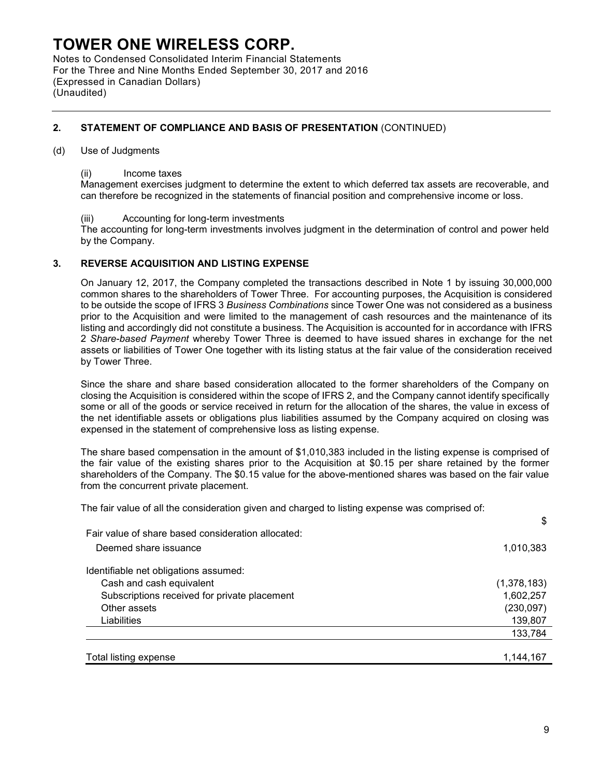Notes to Condensed Consolidated Interim Financial Statements For the Three and Nine Months Ended September 30, 2017 and 2016 (Expressed in Canadian Dollars) (Unaudited)

## 2. STATEMENT OF COMPLIANCE AND BASIS OF PRESENTATION (CONTINUED)

## (d) Use of Judgments

## (ii) Income taxes

Management exercises judgment to determine the extent to which deferred tax assets are recoverable, and can therefore be recognized in the statements of financial position and comprehensive income or loss.

## (iii) Accounting for long-term investments

The accounting for long-term investments involves judgment in the determination of control and power held by the Company.

## 3. REVERSE ACQUISITION AND LISTING EXPENSE

On January 12, 2017, the Company completed the transactions described in Note 1 by issuing 30,000,000 common shares to the shareholders of Tower Three. For accounting purposes, the Acquisition is considered to be outside the scope of IFRS 3 Business Combinations since Tower One was not considered as a business prior to the Acquisition and were limited to the management of cash resources and the maintenance of its listing and accordingly did not constitute a business. The Acquisition is accounted for in accordance with IFRS 2 Share-based Payment whereby Tower Three is deemed to have issued shares in exchange for the net assets or liabilities of Tower One together with its listing status at the fair value of the consideration received by Tower Three.

Since the share and share based consideration allocated to the former shareholders of the Company on closing the Acquisition is considered within the scope of IFRS 2, and the Company cannot identify specifically some or all of the goods or service received in return for the allocation of the shares, the value in excess of the net identifiable assets or obligations plus liabilities assumed by the Company acquired on closing was expensed in the statement of comprehensive loss as listing expense.

The share based compensation in the amount of \$1,010,383 included in the listing expense is comprised of the fair value of the existing shares prior to the Acquisition at \$0.15 per share retained by the former shareholders of the Company. The \$0.15 value for the above-mentioned shares was based on the fair value from the concurrent private placement.

The fair value of all the consideration given and charged to listing expense was comprised of:

|                                                    | \$          |
|----------------------------------------------------|-------------|
| Fair value of share based consideration allocated: |             |
| Deemed share issuance                              | 1,010,383   |
| Identifiable net obligations assumed:              |             |
| Cash and cash equivalent                           | (1,378,183) |
| Subscriptions received for private placement       | 1,602,257   |
| Other assets                                       | (230, 097)  |
| Liabilities                                        | 139,807     |
|                                                    | 133,784     |
| Total listing expense                              | 1,144,167   |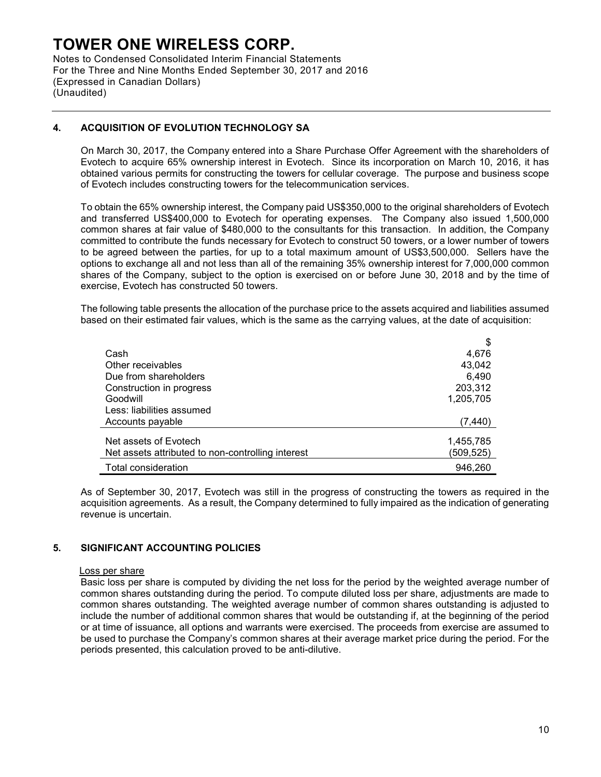Notes to Condensed Consolidated Interim Financial Statements For the Three and Nine Months Ended September 30, 2017 and 2016 (Expressed in Canadian Dollars) (Unaudited)

# 4. ACQUISITION OF EVOLUTION TECHNOLOGY SA

On March 30, 2017, the Company entered into a Share Purchase Offer Agreement with the shareholders of Evotech to acquire 65% ownership interest in Evotech. Since its incorporation on March 10, 2016, it has obtained various permits for constructing the towers for cellular coverage. The purpose and business scope of Evotech includes constructing towers for the telecommunication services.

To obtain the 65% ownership interest, the Company paid US\$350,000 to the original shareholders of Evotech and transferred US\$400,000 to Evotech for operating expenses. The Company also issued 1,500,000 common shares at fair value of \$480,000 to the consultants for this transaction. In addition, the Company committed to contribute the funds necessary for Evotech to construct 50 towers, or a lower number of towers to be agreed between the parties, for up to a total maximum amount of US\$3,500,000. Sellers have the options to exchange all and not less than all of the remaining 35% ownership interest for 7,000,000 common shares of the Company, subject to the option is exercised on or before June 30, 2018 and by the time of exercise, Evotech has constructed 50 towers.

The following table presents the allocation of the purchase price to the assets acquired and liabilities assumed based on their estimated fair values, which is the same as the carrying values, at the date of acquisition:

|                                                   | \$        |
|---------------------------------------------------|-----------|
| Cash                                              | 4,676     |
| Other receivables                                 | 43,042    |
| Due from shareholders                             | 6,490     |
| Construction in progress                          | 203,312   |
| Goodwill                                          | 1,205,705 |
| Less: liabilities assumed                         |           |
| Accounts payable                                  | (7,440)   |
| Net assets of Evotech                             |           |
|                                                   | 1,455,785 |
| Net assets attributed to non-controlling interest | (509,525) |
| Total consideration                               | 946,260   |

As of September 30, 2017, Evotech was still in the progress of constructing the towers as required in the acquisition agreements. As a result, the Company determined to fully impaired as the indication of generating revenue is uncertain.

## 5. SIGNIFICANT ACCOUNTING POLICIES

### Loss per share

Basic loss per share is computed by dividing the net loss for the period by the weighted average number of common shares outstanding during the period. To compute diluted loss per share, adjustments are made to common shares outstanding. The weighted average number of common shares outstanding is adjusted to include the number of additional common shares that would be outstanding if, at the beginning of the period or at time of issuance, all options and warrants were exercised. The proceeds from exercise are assumed to be used to purchase the Company's common shares at their average market price during the period. For the periods presented, this calculation proved to be anti-dilutive.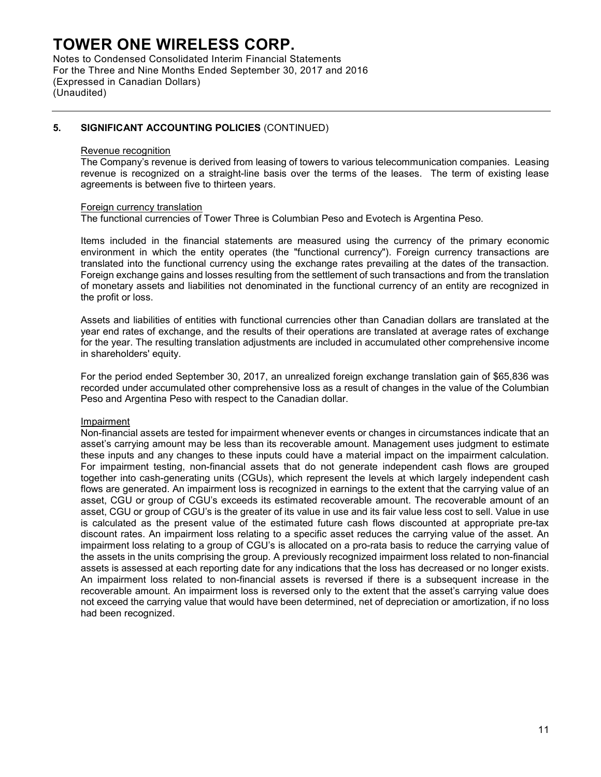Notes to Condensed Consolidated Interim Financial Statements For the Three and Nine Months Ended September 30, 2017 and 2016 (Expressed in Canadian Dollars) (Unaudited)

## 5. SIGNIFICANT ACCOUNTING POLICIES (CONTINUED)

### Revenue recognition

The Company's revenue is derived from leasing of towers to various telecommunication companies. Leasing revenue is recognized on a straight-line basis over the terms of the leases. The term of existing lease agreements is between five to thirteen years.

## Foreign currency translation

The functional currencies of Tower Three is Columbian Peso and Evotech is Argentina Peso.

Items included in the financial statements are measured using the currency of the primary economic environment in which the entity operates (the "functional currency"). Foreign currency transactions are translated into the functional currency using the exchange rates prevailing at the dates of the transaction. Foreign exchange gains and losses resulting from the settlement of such transactions and from the translation of monetary assets and liabilities not denominated in the functional currency of an entity are recognized in the profit or loss.

Assets and liabilities of entities with functional currencies other than Canadian dollars are translated at the year end rates of exchange, and the results of their operations are translated at average rates of exchange for the year. The resulting translation adjustments are included in accumulated other comprehensive income in shareholders' equity.

For the period ended September 30, 2017, an unrealized foreign exchange translation gain of \$65,836 was recorded under accumulated other comprehensive loss as a result of changes in the value of the Columbian Peso and Argentina Peso with respect to the Canadian dollar.

## Impairment

Non-financial assets are tested for impairment whenever events or changes in circumstances indicate that an asset's carrying amount may be less than its recoverable amount. Management uses judgment to estimate these inputs and any changes to these inputs could have a material impact on the impairment calculation. For impairment testing, non-financial assets that do not generate independent cash flows are grouped together into cash-generating units (CGUs), which represent the levels at which largely independent cash flows are generated. An impairment loss is recognized in earnings to the extent that the carrying value of an asset, CGU or group of CGU's exceeds its estimated recoverable amount. The recoverable amount of an asset, CGU or group of CGU's is the greater of its value in use and its fair value less cost to sell. Value in use is calculated as the present value of the estimated future cash flows discounted at appropriate pre-tax discount rates. An impairment loss relating to a specific asset reduces the carrying value of the asset. An impairment loss relating to a group of CGU's is allocated on a pro-rata basis to reduce the carrying value of the assets in the units comprising the group. A previously recognized impairment loss related to non-financial assets is assessed at each reporting date for any indications that the loss has decreased or no longer exists. An impairment loss related to non-financial assets is reversed if there is a subsequent increase in the recoverable amount. An impairment loss is reversed only to the extent that the asset's carrying value does not exceed the carrying value that would have been determined, net of depreciation or amortization, if no loss had been recognized.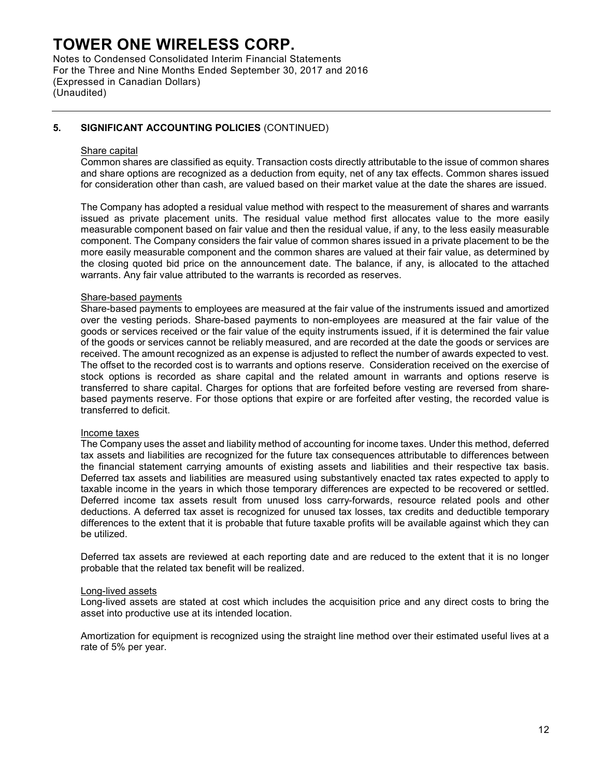Notes to Condensed Consolidated Interim Financial Statements For the Three and Nine Months Ended September 30, 2017 and 2016 (Expressed in Canadian Dollars) (Unaudited)

# 5. SIGNIFICANT ACCOUNTING POLICIES (CONTINUED)

### Share capital

Common shares are classified as equity. Transaction costs directly attributable to the issue of common shares and share options are recognized as a deduction from equity, net of any tax effects. Common shares issued for consideration other than cash, are valued based on their market value at the date the shares are issued.

The Company has adopted a residual value method with respect to the measurement of shares and warrants issued as private placement units. The residual value method first allocates value to the more easily measurable component based on fair value and then the residual value, if any, to the less easily measurable component. The Company considers the fair value of common shares issued in a private placement to be the more easily measurable component and the common shares are valued at their fair value, as determined by the closing quoted bid price on the announcement date. The balance, if any, is allocated to the attached warrants. Any fair value attributed to the warrants is recorded as reserves.

## Share-based payments

Share-based payments to employees are measured at the fair value of the instruments issued and amortized over the vesting periods. Share-based payments to non-employees are measured at the fair value of the goods or services received or the fair value of the equity instruments issued, if it is determined the fair value of the goods or services cannot be reliably measured, and are recorded at the date the goods or services are received. The amount recognized as an expense is adjusted to reflect the number of awards expected to vest. The offset to the recorded cost is to warrants and options reserve. Consideration received on the exercise of stock options is recorded as share capital and the related amount in warrants and options reserve is transferred to share capital. Charges for options that are forfeited before vesting are reversed from sharebased payments reserve. For those options that expire or are forfeited after vesting, the recorded value is transferred to deficit.

### Income taxes

The Company uses the asset and liability method of accounting for income taxes. Under this method, deferred tax assets and liabilities are recognized for the future tax consequences attributable to differences between the financial statement carrying amounts of existing assets and liabilities and their respective tax basis. Deferred tax assets and liabilities are measured using substantively enacted tax rates expected to apply to taxable income in the years in which those temporary differences are expected to be recovered or settled. Deferred income tax assets result from unused loss carry-forwards, resource related pools and other deductions. A deferred tax asset is recognized for unused tax losses, tax credits and deductible temporary differences to the extent that it is probable that future taxable profits will be available against which they can be utilized.

Deferred tax assets are reviewed at each reporting date and are reduced to the extent that it is no longer probable that the related tax benefit will be realized.

### Long-lived assets

Long-lived assets are stated at cost which includes the acquisition price and any direct costs to bring the asset into productive use at its intended location.

Amortization for equipment is recognized using the straight line method over their estimated useful lives at a rate of 5% per year.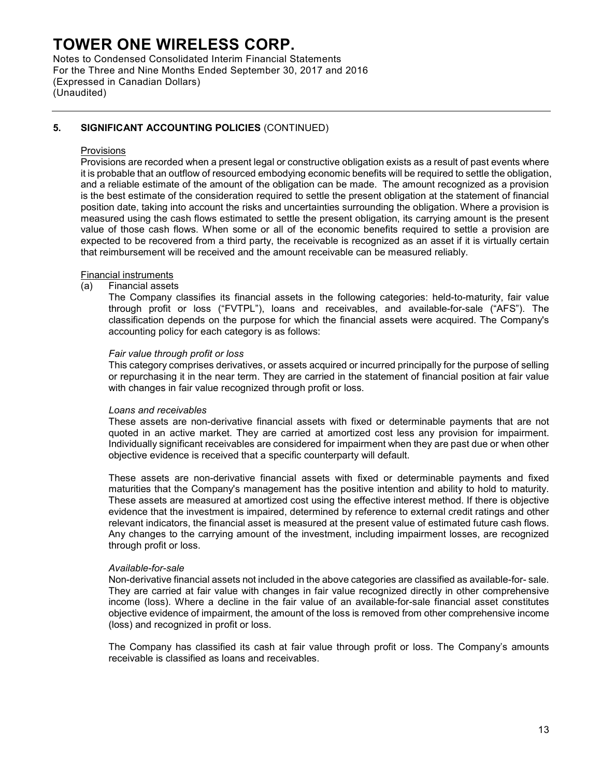Notes to Condensed Consolidated Interim Financial Statements For the Three and Nine Months Ended September 30, 2017 and 2016 (Expressed in Canadian Dollars) (Unaudited)

# 5. SIGNIFICANT ACCOUNTING POLICIES (CONTINUED)

## Provisions

Provisions are recorded when a present legal or constructive obligation exists as a result of past events where it is probable that an outflow of resourced embodying economic benefits will be required to settle the obligation, and a reliable estimate of the amount of the obligation can be made. The amount recognized as a provision is the best estimate of the consideration required to settle the present obligation at the statement of financial position date, taking into account the risks and uncertainties surrounding the obligation. Where a provision is measured using the cash flows estimated to settle the present obligation, its carrying amount is the present value of those cash flows. When some or all of the economic benefits required to settle a provision are expected to be recovered from a third party, the receivable is recognized as an asset if it is virtually certain that reimbursement will be received and the amount receivable can be measured reliably.

## Financial instruments

## (a) Financial assets

The Company classifies its financial assets in the following categories: held-to-maturity, fair value through profit or loss ("FVTPL"), loans and receivables, and available-for-sale ("AFS"). The classification depends on the purpose for which the financial assets were acquired. The Company's accounting policy for each category is as follows:

## Fair value through profit or loss

This category comprises derivatives, or assets acquired or incurred principally for the purpose of selling or repurchasing it in the near term. They are carried in the statement of financial position at fair value with changes in fair value recognized through profit or loss.

## Loans and receivables

These assets are non-derivative financial assets with fixed or determinable payments that are not quoted in an active market. They are carried at amortized cost less any provision for impairment. Individually significant receivables are considered for impairment when they are past due or when other objective evidence is received that a specific counterparty will default.

These assets are non-derivative financial assets with fixed or determinable payments and fixed maturities that the Company's management has the positive intention and ability to hold to maturity. These assets are measured at amortized cost using the effective interest method. If there is objective evidence that the investment is impaired, determined by reference to external credit ratings and other relevant indicators, the financial asset is measured at the present value of estimated future cash flows. Any changes to the carrying amount of the investment, including impairment losses, are recognized through profit or loss.

## Available-for-sale

Non-derivative financial assets not included in the above categories are classified as available-for- sale. They are carried at fair value with changes in fair value recognized directly in other comprehensive income (loss). Where a decline in the fair value of an available-for-sale financial asset constitutes objective evidence of impairment, the amount of the loss is removed from other comprehensive income (loss) and recognized in profit or loss.

The Company has classified its cash at fair value through profit or loss. The Company's amounts receivable is classified as loans and receivables.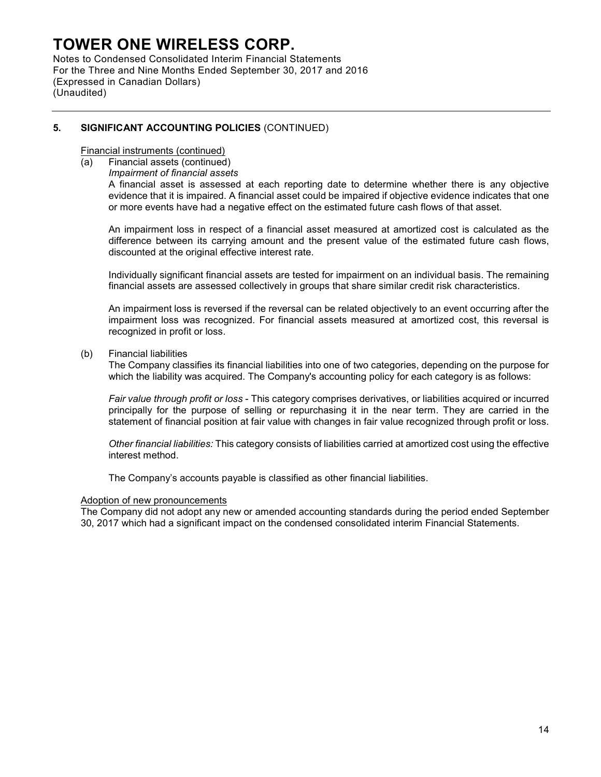Notes to Condensed Consolidated Interim Financial Statements For the Three and Nine Months Ended September 30, 2017 and 2016 (Expressed in Canadian Dollars) (Unaudited)

# 5. SIGNIFICANT ACCOUNTING POLICIES (CONTINUED)

## Financial instruments (continued)

- (a) Financial assets (continued)
	- Impairment of financial assets

A financial asset is assessed at each reporting date to determine whether there is any objective evidence that it is impaired. A financial asset could be impaired if objective evidence indicates that one or more events have had a negative effect on the estimated future cash flows of that asset.

An impairment loss in respect of a financial asset measured at amortized cost is calculated as the difference between its carrying amount and the present value of the estimated future cash flows, discounted at the original effective interest rate.

Individually significant financial assets are tested for impairment on an individual basis. The remaining financial assets are assessed collectively in groups that share similar credit risk characteristics.

An impairment loss is reversed if the reversal can be related objectively to an event occurring after the impairment loss was recognized. For financial assets measured at amortized cost, this reversal is recognized in profit or loss.

(b) Financial liabilities

The Company classifies its financial liabilities into one of two categories, depending on the purpose for which the liability was acquired. The Company's accounting policy for each category is as follows:

Fair value through profit or loss - This category comprises derivatives, or liabilities acquired or incurred principally for the purpose of selling or repurchasing it in the near term. They are carried in the statement of financial position at fair value with changes in fair value recognized through profit or loss.

Other financial liabilities: This category consists of liabilities carried at amortized cost using the effective interest method.

The Company's accounts payable is classified as other financial liabilities.

## Adoption of new pronouncements

The Company did not adopt any new or amended accounting standards during the period ended September 30, 2017 which had a significant impact on the condensed consolidated interim Financial Statements.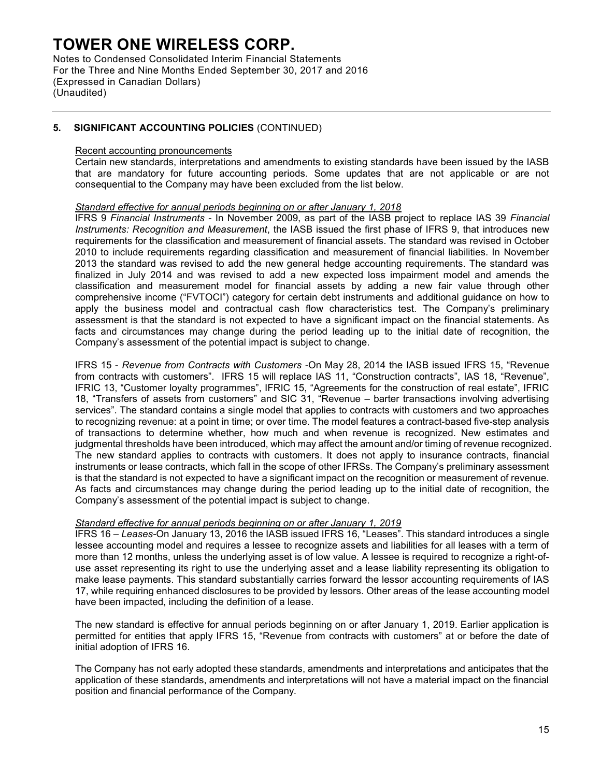Notes to Condensed Consolidated Interim Financial Statements For the Three and Nine Months Ended September 30, 2017 and 2016 (Expressed in Canadian Dollars) (Unaudited)

# 5. SIGNIFICANT ACCOUNTING POLICIES (CONTINUED)

## Recent accounting pronouncements

Certain new standards, interpretations and amendments to existing standards have been issued by the IASB that are mandatory for future accounting periods. Some updates that are not applicable or are not consequential to the Company may have been excluded from the list below.

## Standard effective for annual periods beginning on or after January 1, 2018

IFRS 9 Financial Instruments - In November 2009, as part of the IASB project to replace IAS 39 Financial Instruments: Recognition and Measurement, the IASB issued the first phase of IFRS 9, that introduces new requirements for the classification and measurement of financial assets. The standard was revised in October 2010 to include requirements regarding classification and measurement of financial liabilities. In November 2013 the standard was revised to add the new general hedge accounting requirements. The standard was finalized in July 2014 and was revised to add a new expected loss impairment model and amends the classification and measurement model for financial assets by adding a new fair value through other comprehensive income ("FVTOCI") category for certain debt instruments and additional guidance on how to apply the business model and contractual cash flow characteristics test. The Company's preliminary assessment is that the standard is not expected to have a significant impact on the financial statements. As facts and circumstances may change during the period leading up to the initial date of recognition, the Company's assessment of the potential impact is subject to change.

IFRS 15 - Revenue from Contracts with Customers -On May 28, 2014 the IASB issued IFRS 15, "Revenue from contracts with customers". IFRS 15 will replace IAS 11, "Construction contracts", IAS 18, "Revenue", IFRIC 13, "Customer loyalty programmes", IFRIC 15, "Agreements for the construction of real estate", IFRIC 18, "Transfers of assets from customers" and SIC 31, "Revenue – barter transactions involving advertising services". The standard contains a single model that applies to contracts with customers and two approaches to recognizing revenue: at a point in time; or over time. The model features a contract-based five-step analysis of transactions to determine whether, how much and when revenue is recognized. New estimates and judgmental thresholds have been introduced, which may affect the amount and/or timing of revenue recognized. The new standard applies to contracts with customers. It does not apply to insurance contracts, financial instruments or lease contracts, which fall in the scope of other IFRSs. The Company's preliminary assessment is that the standard is not expected to have a significant impact on the recognition or measurement of revenue. As facts and circumstances may change during the period leading up to the initial date of recognition, the Company's assessment of the potential impact is subject to change.

## Standard effective for annual periods beginning on or after January 1, 2019

IFRS 16 – Leases-On January 13, 2016 the IASB issued IFRS 16, "Leases". This standard introduces a single lessee accounting model and requires a lessee to recognize assets and liabilities for all leases with a term of more than 12 months, unless the underlying asset is of low value. A lessee is required to recognize a right-ofuse asset representing its right to use the underlying asset and a lease liability representing its obligation to make lease payments. This standard substantially carries forward the lessor accounting requirements of IAS 17, while requiring enhanced disclosures to be provided by lessors. Other areas of the lease accounting model have been impacted, including the definition of a lease.

The new standard is effective for annual periods beginning on or after January 1, 2019. Earlier application is permitted for entities that apply IFRS 15, "Revenue from contracts with customers" at or before the date of initial adoption of IFRS 16.

The Company has not early adopted these standards, amendments and interpretations and anticipates that the application of these standards, amendments and interpretations will not have a material impact on the financial position and financial performance of the Company.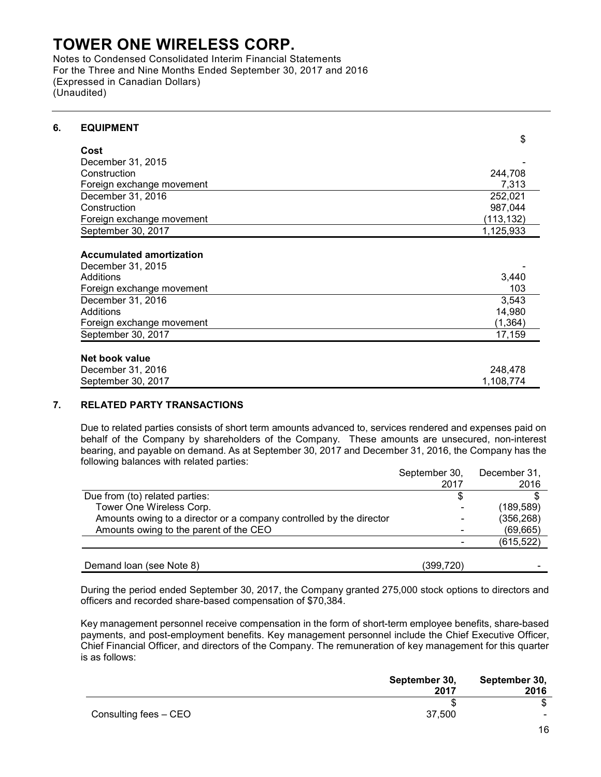Notes to Condensed Consolidated Interim Financial Statements For the Three and Nine Months Ended September 30, 2017 and 2016 (Expressed in Canadian Dollars) (Unaudited)

| <b>EQUIPMENT</b>                                      |                           |
|-------------------------------------------------------|---------------------------|
| Cost                                                  | \$                        |
| December 31, 2015                                     |                           |
| Construction                                          | 244,708                   |
| Foreign exchange movement                             | 7,313                     |
| December 31, 2016                                     | 252,021                   |
| Construction                                          | 987,044                   |
| Foreign exchange movement                             | (113, 132)                |
|                                                       |                           |
| September 30, 2017<br><b>Accumulated amortization</b> |                           |
|                                                       |                           |
| December 31, 2015<br><b>Additions</b>                 |                           |
| Foreign exchange movement                             | 1,125,933<br>3,440<br>103 |
| December 31, 2016                                     | 3,543                     |
| <b>Additions</b>                                      |                           |
| Foreign exchange movement                             | 14,980<br>(1, 364)        |

## 7. RELATED PARTY TRANSACTIONS

Due to related parties consists of short term amounts advanced to, services rendered and expenses paid on behalf of the Company by shareholders of the Company. These amounts are unsecured, non-interest bearing, and payable on demand. As at September 30, 2017 and December 31, 2016, the Company has the following balances with related parties:

|                                                                     | September 30, | December 31, |
|---------------------------------------------------------------------|---------------|--------------|
|                                                                     | 2017          | 2016         |
| Due from (to) related parties:                                      | 5             | \$           |
| Tower One Wireless Corp.                                            |               | (189, 589)   |
| Amounts owing to a director or a company controlled by the director |               | (356,268)    |
| Amounts owing to the parent of the CEO                              |               | (69, 665)    |
|                                                                     |               | (615, 522)   |
|                                                                     |               |              |
| Demand loan (see Note 8)                                            | (399,720)     |              |

During the period ended September 30, 2017, the Company granted 275,000 stock options to directors and officers and recorded share-based compensation of \$70,384.

Key management personnel receive compensation in the form of short-term employee benefits, share-based payments, and post-employment benefits. Key management personnel include the Chief Executive Officer, Chief Financial Officer, and directors of the Company. The remuneration of key management for this quarter is as follows:

|                       | September 30,<br>2017 | September 30,<br>2016 |
|-----------------------|-----------------------|-----------------------|
|                       |                       | \$                    |
| Consulting fees - CEO | 37.500                | $\sim$                |
|                       |                       | $\sqrt{2}$            |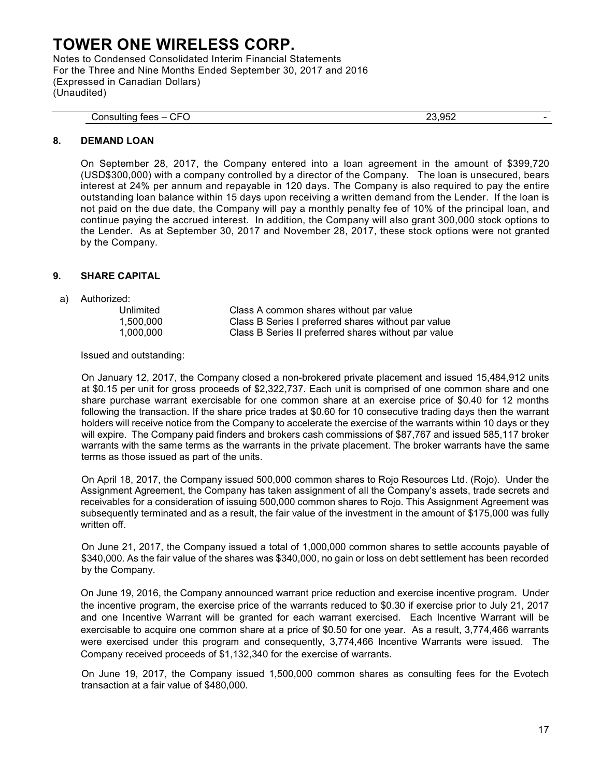Notes to Condensed Consolidated Interim Financial Statements For the Three and Nine Months Ended September 30, 2017 and 2016 (Expressed in Canadian Dollars) (Unaudited)

Consulting fees – CFO 23,952 -

## 8. DEMAND LOAN

On September 28, 2017, the Company entered into a loan agreement in the amount of \$399,720 (USD\$300,000) with a company controlled by a director of the Company. The loan is unsecured, bears interest at 24% per annum and repayable in 120 days. The Company is also required to pay the entire outstanding loan balance within 15 days upon receiving a written demand from the Lender. If the loan is not paid on the due date, the Company will pay a monthly penalty fee of 10% of the principal loan, and continue paying the accrued interest. In addition, the Company will also grant 300,000 stock options to the Lender. As at September 30, 2017 and November 28, 2017, these stock options were not granted by the Company.

## 9. SHARE CAPITAL

#### a) Authorized:

| Unlimited | Class A common shares without par value              |
|-----------|------------------------------------------------------|
| 1.500.000 | Class B Series I preferred shares without par value  |
| 1.000.000 | Class B Series II preferred shares without par value |

Issued and outstanding:

On January 12, 2017, the Company closed a non-brokered private placement and issued 15,484,912 units at \$0.15 per unit for gross proceeds of \$2,322,737. Each unit is comprised of one common share and one share purchase warrant exercisable for one common share at an exercise price of \$0.40 for 12 months following the transaction. If the share price trades at \$0.60 for 10 consecutive trading days then the warrant holders will receive notice from the Company to accelerate the exercise of the warrants within 10 days or they will expire. The Company paid finders and brokers cash commissions of \$87,767 and issued 585,117 broker warrants with the same terms as the warrants in the private placement. The broker warrants have the same terms as those issued as part of the units.

On April 18, 2017, the Company issued 500,000 common shares to Rojo Resources Ltd. (Rojo). Under the Assignment Agreement, the Company has taken assignment of all the Company's assets, trade secrets and receivables for a consideration of issuing 500,000 common shares to Rojo. This Assignment Agreement was subsequently terminated and as a result, the fair value of the investment in the amount of \$175,000 was fully written off.

On June 21, 2017, the Company issued a total of 1,000,000 common shares to settle accounts payable of \$340,000. As the fair value of the shares was \$340,000, no gain or loss on debt settlement has been recorded by the Company.

On June 19, 2016, the Company announced warrant price reduction and exercise incentive program. Under the incentive program, the exercise price of the warrants reduced to \$0.30 if exercise prior to July 21, 2017 and one Incentive Warrant will be granted for each warrant exercised. Each Incentive Warrant will be exercisable to acquire one common share at a price of \$0.50 for one year. As a result, 3,774,466 warrants were exercised under this program and consequently, 3,774,466 Incentive Warrants were issued. The Company received proceeds of \$1,132,340 for the exercise of warrants.

On June 19, 2017, the Company issued 1,500,000 common shares as consulting fees for the Evotech transaction at a fair value of \$480,000.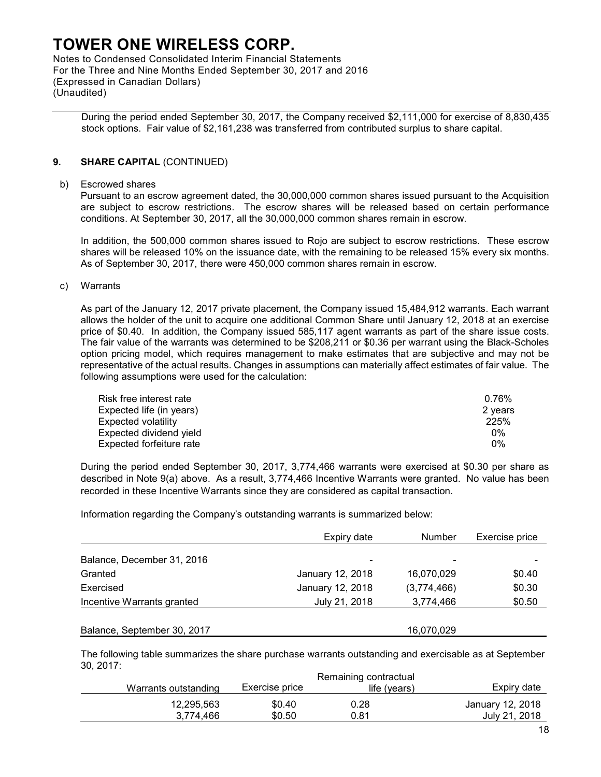Notes to Condensed Consolidated Interim Financial Statements For the Three and Nine Months Ended September 30, 2017 and 2016 (Expressed in Canadian Dollars) (Unaudited)

During the period ended September 30, 2017, the Company received \$2,111,000 for exercise of 8,830,435 stock options. Fair value of \$2,161,238 was transferred from contributed surplus to share capital.

## 9. SHARE CAPITAL (CONTINUED)

### b) Escrowed shares

Pursuant to an escrow agreement dated, the 30,000,000 common shares issued pursuant to the Acquisition are subject to escrow restrictions. The escrow shares will be released based on certain performance conditions. At September 30, 2017, all the 30,000,000 common shares remain in escrow.

In addition, the 500,000 common shares issued to Rojo are subject to escrow restrictions. These escrow shares will be released 10% on the issuance date, with the remaining to be released 15% every six months. As of September 30, 2017, there were 450,000 common shares remain in escrow.

## c) Warrants

As part of the January 12, 2017 private placement, the Company issued 15,484,912 warrants. Each warrant allows the holder of the unit to acquire one additional Common Share until January 12, 2018 at an exercise price of \$0.40. In addition, the Company issued 585,117 agent warrants as part of the share issue costs. The fair value of the warrants was determined to be \$208,211 or \$0.36 per warrant using the Black-Scholes option pricing model, which requires management to make estimates that are subjective and may not be representative of the actual results. Changes in assumptions can materially affect estimates of fair value. The following assumptions were used for the calculation:

| Risk free interest rate  | 0.76%   |
|--------------------------|---------|
| Expected life (in years) | 2 years |
| Expected volatility      | 225%    |
| Expected dividend yield  | $0\%$   |
| Expected forfeiture rate | $0\%$   |

During the period ended September 30, 2017, 3,774,466 warrants were exercised at \$0.30 per share as described in Note 9(a) above. As a result, 3,774,466 Incentive Warrants were granted. No value has been recorded in these Incentive Warrants since they are considered as capital transaction.

Information regarding the Company's outstanding warrants is summarized below:

|                             | Expiry date      | <b>Number</b> | Exercise price |
|-----------------------------|------------------|---------------|----------------|
| Balance, December 31, 2016  | $\blacksquare$   |               |                |
| Granted                     | January 12, 2018 | 16,070,029    | \$0.40         |
| Exercised                   | January 12, 2018 | (3,774,466)   | \$0.30         |
| Incentive Warrants granted  | July 21, 2018    | 3,774,466     | \$0.50         |
|                             |                  |               |                |
| Balance, September 30, 2017 |                  | 16,070,029    |                |

The following table summarizes the share purchase warrants outstanding and exercisable as at September 30, 2017:

|                      |                | Remaining contractual |                  |
|----------------------|----------------|-----------------------|------------------|
| Warrants outstanding | Exercise price | life (vears)          | Expiry date      |
| 12,295,563           | \$0.40         | 0.28                  | January 12, 2018 |
| 3.774.466            | \$0.50         | 0.81                  | July 21, 2018    |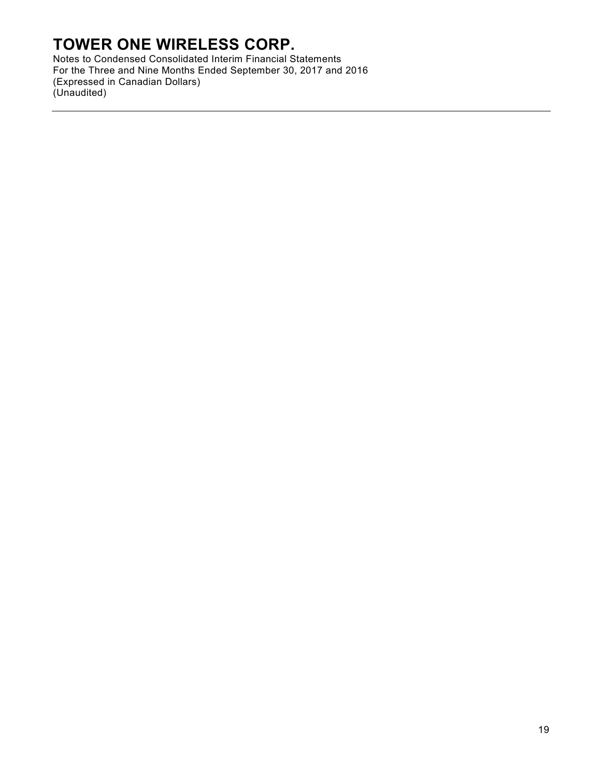Notes to Condensed Consolidated Interim Financial Statements For the Three and Nine Months Ended September 30, 2017 and 2016 (Expressed in Canadian Dollars) (Unaudited)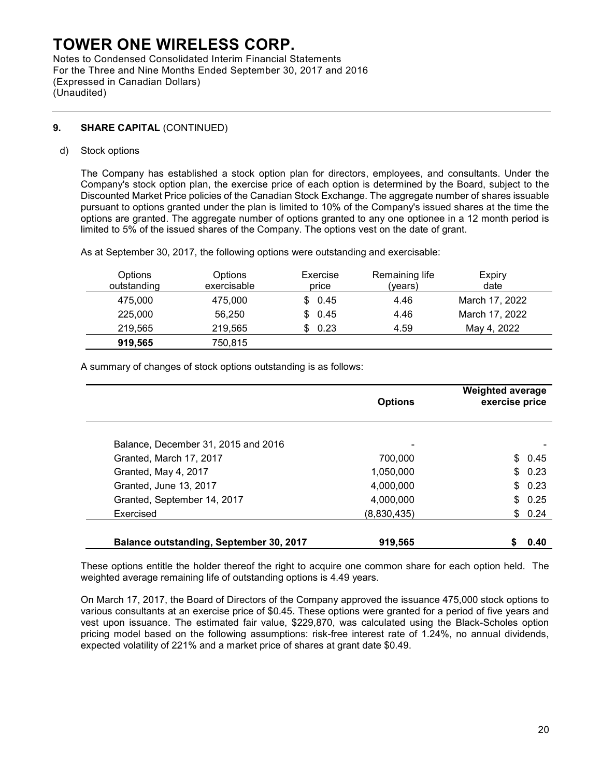Notes to Condensed Consolidated Interim Financial Statements For the Three and Nine Months Ended September 30, 2017 and 2016 (Expressed in Canadian Dollars) (Unaudited)

## 9. SHARE CAPITAL (CONTINUED)

## d) Stock options

The Company has established a stock option plan for directors, employees, and consultants. Under the Company's stock option plan, the exercise price of each option is determined by the Board, subject to the Discounted Market Price policies of the Canadian Stock Exchange. The aggregate number of shares issuable pursuant to options granted under the plan is limited to 10% of the Company's issued shares at the time the options are granted. The aggregate number of options granted to any one optionee in a 12 month period is limited to 5% of the issued shares of the Company. The options vest on the date of grant.

As at September 30, 2017, the following options were outstanding and exercisable:

| <b>Options</b><br>outstanding | <b>Options</b><br>exercisable | Exercise<br>price | Remaining life<br>(vears) | Expiry<br>date |
|-------------------------------|-------------------------------|-------------------|---------------------------|----------------|
| 475.000                       | 475,000                       | \$0.45            | 4.46                      | March 17, 2022 |
| 225,000                       | 56.250                        | \$0.45            | 4.46                      | March 17, 2022 |
| 219,565                       | 219,565                       | \$0.23            | 4.59                      | May 4, 2022    |
| 919,565                       | 750,815                       |                   |                           |                |

A summary of changes of stock options outstanding is as follows:

|                                     | <b>Options</b> | <b>Weighted average</b><br>exercise price |
|-------------------------------------|----------------|-------------------------------------------|
| Balance, December 31, 2015 and 2016 | ٠              |                                           |
| Granted, March 17, 2017             | 700.000        | 0.45<br>\$                                |
| Granted, May 4, 2017                | 1,050,000      | \$0.23                                    |
| Granted, June 13, 2017              | 4,000,000      | \$0.23                                    |
| Granted, September 14, 2017         | 4,000,000      | \$0.25                                    |
| Exercised                           | (8,830,435)    | \$0.24                                    |

These options entitle the holder thereof the right to acquire one common share for each option held. The weighted average remaining life of outstanding options is 4.49 years.

On March 17, 2017, the Board of Directors of the Company approved the issuance 475,000 stock options to various consultants at an exercise price of \$0.45. These options were granted for a period of five years and vest upon issuance. The estimated fair value, \$229,870, was calculated using the Black-Scholes option pricing model based on the following assumptions: risk-free interest rate of 1.24%, no annual dividends, expected volatility of 221% and a market price of shares at grant date \$0.49.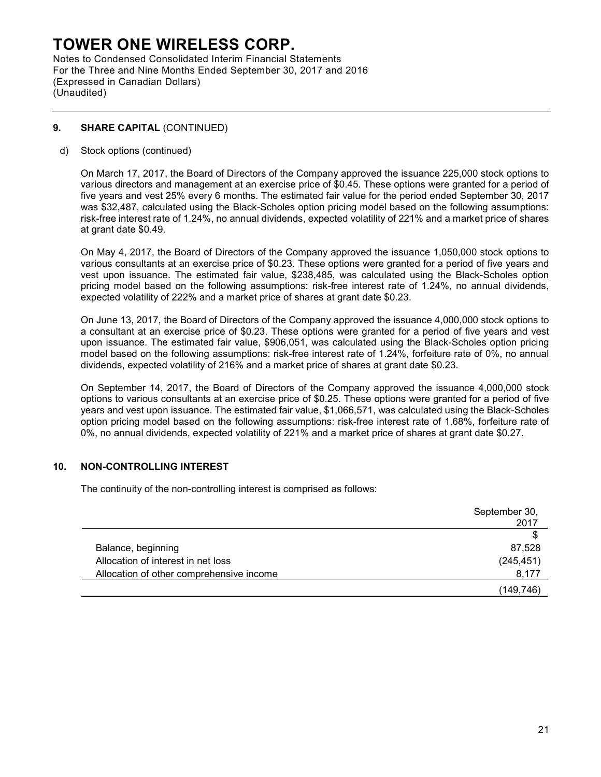Notes to Condensed Consolidated Interim Financial Statements For the Three and Nine Months Ended September 30, 2017 and 2016 (Expressed in Canadian Dollars) (Unaudited)

## 9. SHARE CAPITAL (CONTINUED)

d) Stock options (continued)

On March 17, 2017, the Board of Directors of the Company approved the issuance 225,000 stock options to various directors and management at an exercise price of \$0.45. These options were granted for a period of five years and vest 25% every 6 months. The estimated fair value for the period ended September 30, 2017 was \$32,487, calculated using the Black-Scholes option pricing model based on the following assumptions: risk-free interest rate of 1.24%, no annual dividends, expected volatility of 221% and a market price of shares at grant date \$0.49.

On May 4, 2017, the Board of Directors of the Company approved the issuance 1,050,000 stock options to various consultants at an exercise price of \$0.23. These options were granted for a period of five years and vest upon issuance. The estimated fair value, \$238,485, was calculated using the Black-Scholes option pricing model based on the following assumptions: risk-free interest rate of 1.24%, no annual dividends, expected volatility of 222% and a market price of shares at grant date \$0.23.

On June 13, 2017, the Board of Directors of the Company approved the issuance 4,000,000 stock options to a consultant at an exercise price of \$0.23. These options were granted for a period of five years and vest upon issuance. The estimated fair value, \$906,051, was calculated using the Black-Scholes option pricing model based on the following assumptions: risk-free interest rate of 1.24%, forfeiture rate of 0%, no annual dividends, expected volatility of 216% and a market price of shares at grant date \$0.23.

On September 14, 2017, the Board of Directors of the Company approved the issuance 4,000,000 stock options to various consultants at an exercise price of \$0.25. These options were granted for a period of five years and vest upon issuance. The estimated fair value, \$1,066,571, was calculated using the Black-Scholes option pricing model based on the following assumptions: risk-free interest rate of 1.68%, forfeiture rate of 0%, no annual dividends, expected volatility of 221% and a market price of shares at grant date \$0.27.

## 10. NON-CONTROLLING INTEREST

The continuity of the non-controlling interest is comprised as follows:

|                                          | September 30,<br>2017 |
|------------------------------------------|-----------------------|
|                                          |                       |
| Balance, beginning                       | 87,528                |
| Allocation of interest in net loss       | (245, 451)            |
| Allocation of other comprehensive income | 8,177                 |
|                                          | (149,746)             |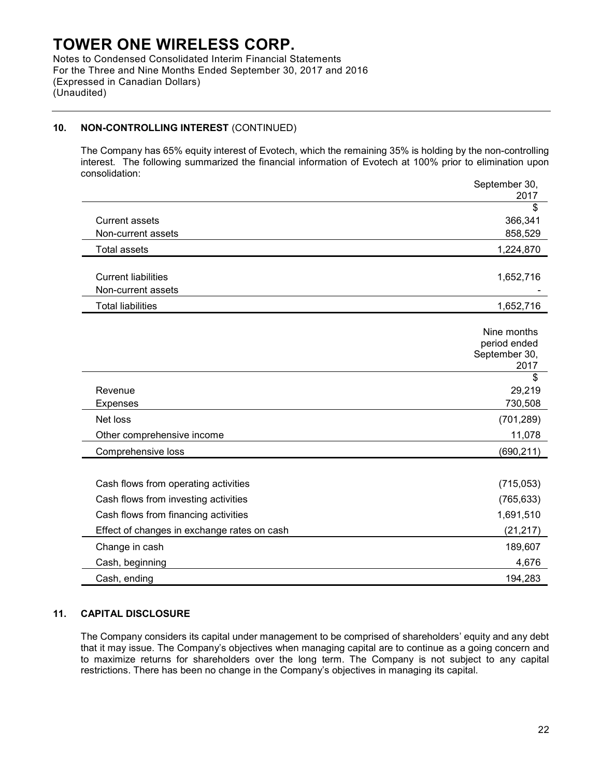Notes to Condensed Consolidated Interim Financial Statements For the Three and Nine Months Ended September 30, 2017 and 2016 (Expressed in Canadian Dollars) (Unaudited)

# 10. NON-CONTROLLING INTEREST (CONTINUED)

The Company has 65% equity interest of Evotech, which the remaining 35% is holding by the non-controlling interest. The following summarized the financial information of Evotech at 100% prior to elimination upon consolidation: September 30,

|                                             | əeptemper əv,<br>2017 |
|---------------------------------------------|-----------------------|
|                                             | \$                    |
| <b>Current assets</b>                       | 366,341               |
| Non-current assets                          | 858,529               |
| <b>Total assets</b>                         | 1,224,870             |
|                                             |                       |
| <b>Current liabilities</b>                  | 1,652,716             |
| Non-current assets                          |                       |
| <b>Total liabilities</b>                    | 1,652,716             |
|                                             | Nine months           |
|                                             | period ended          |
|                                             | September 30,         |
|                                             | 2017                  |
|                                             | \$                    |
| Revenue<br><b>Expenses</b>                  | 29,219<br>730,508     |
| Net loss                                    | (701, 289)            |
| Other comprehensive income                  | 11,078                |
|                                             |                       |
| Comprehensive loss                          | (690, 211)            |
|                                             |                       |
| Cash flows from operating activities        | (715, 053)            |
| Cash flows from investing activities        | (765, 633)            |
| Cash flows from financing activities        | 1,691,510             |
| Effect of changes in exchange rates on cash | (21, 217)             |
| Change in cash                              | 189,607               |
| Cash, beginning                             | 4,676                 |
| Cash, ending                                | 194,283               |

## 11. CAPITAL DISCLOSURE

The Company considers its capital under management to be comprised of shareholders' equity and any debt that it may issue. The Company's objectives when managing capital are to continue as a going concern and to maximize returns for shareholders over the long term. The Company is not subject to any capital restrictions. There has been no change in the Company's objectives in managing its capital.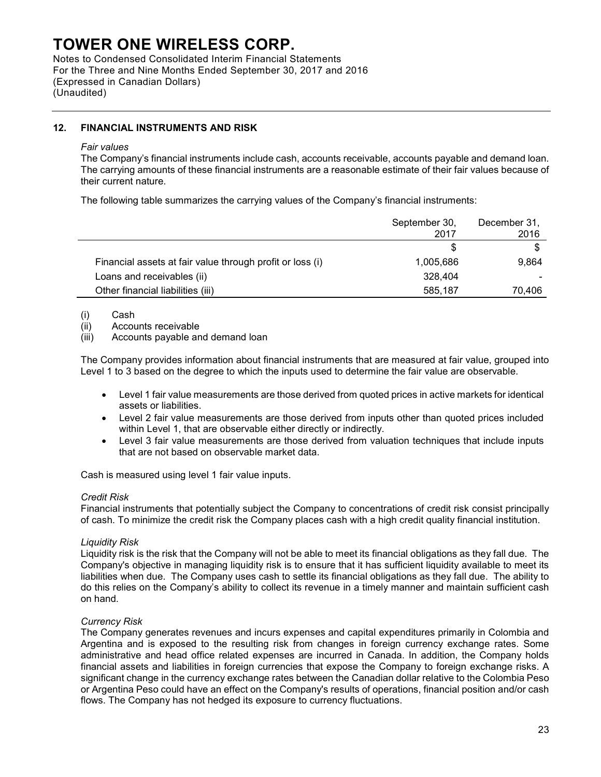Notes to Condensed Consolidated Interim Financial Statements For the Three and Nine Months Ended September 30, 2017 and 2016 (Expressed in Canadian Dollars) (Unaudited)

## 12. FINANCIAL INSTRUMENTS AND RISK

## Fair values

 The Company's financial instruments include cash, accounts receivable, accounts payable and demand loan. The carrying amounts of these financial instruments are a reasonable estimate of their fair values because of their current nature.

The following table summarizes the carrying values of the Company's financial instruments:

|                                                           | September 30, | December 31, |
|-----------------------------------------------------------|---------------|--------------|
|                                                           | 2017          | 2016         |
|                                                           | S             |              |
| Financial assets at fair value through profit or loss (i) | 1,005,686     | 9,864        |
| Loans and receivables (ii)                                | 328,404       |              |
| Other financial liabilities (iii)                         | 585,187       | 70.406       |

(i) Cash

(ii) Accounts receivable

(iii) Accounts payable and demand loan

The Company provides information about financial instruments that are measured at fair value, grouped into Level 1 to 3 based on the degree to which the inputs used to determine the fair value are observable.

- Level 1 fair value measurements are those derived from quoted prices in active markets for identical assets or liabilities.
- Level 2 fair value measurements are those derived from inputs other than quoted prices included within Level 1, that are observable either directly or indirectly.
- Level 3 fair value measurements are those derived from valuation techniques that include inputs that are not based on observable market data.

Cash is measured using level 1 fair value inputs.

## Credit Risk

Financial instruments that potentially subject the Company to concentrations of credit risk consist principally of cash. To minimize the credit risk the Company places cash with a high credit quality financial institution.

## Liquidity Risk

Liquidity risk is the risk that the Company will not be able to meet its financial obligations as they fall due. The Company's objective in managing liquidity risk is to ensure that it has sufficient liquidity available to meet its liabilities when due. The Company uses cash to settle its financial obligations as they fall due. The ability to do this relies on the Company's ability to collect its revenue in a timely manner and maintain sufficient cash on hand.

## Currency Risk

The Company generates revenues and incurs expenses and capital expenditures primarily in Colombia and Argentina and is exposed to the resulting risk from changes in foreign currency exchange rates. Some administrative and head office related expenses are incurred in Canada. In addition, the Company holds financial assets and liabilities in foreign currencies that expose the Company to foreign exchange risks. A significant change in the currency exchange rates between the Canadian dollar relative to the Colombia Peso or Argentina Peso could have an effect on the Company's results of operations, financial position and/or cash flows. The Company has not hedged its exposure to currency fluctuations.